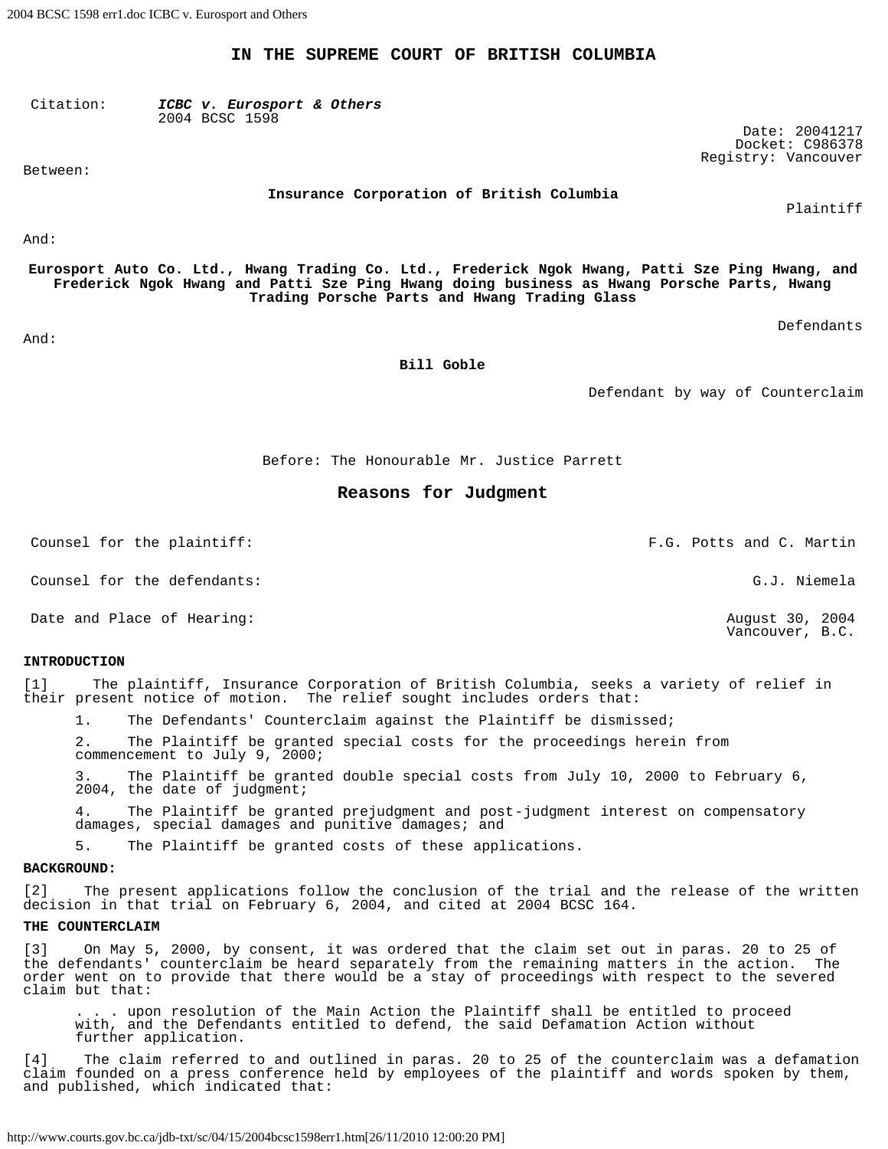**IN THE SUPREME COURT OF BRITISH COLUMBIA**

Citation: *ICBC v. Eurosport & Others* 2004 BCSC 1598

Between:

**Insurance Corporation of British Columbia**

And:

**Eurosport Auto Co. Ltd., Hwang Trading Co. Ltd., Frederick Ngok Hwang, Patti Sze Ping Hwang, and Frederick Ngok Hwang and Patti Sze Ping Hwang doing business as Hwang Porsche Parts, Hwang Trading Porsche Parts and Hwang Trading Glass**

Defendants

Plaintiff

Date: 20041217 Docket: C986378 Registry: Vancouver

And:

**Bill Goble**

Defendant by way of Counterclaim

Before: The Honourable Mr. Justice Parrett

# **Reasons for Judgment**

Counsel for the plaintiff: F.G. Potts and C. Martin

Counsel for the defendants: G.J. Niemela

Date and Place of Hearing:  $\sim$  2004

### **INTRODUCTION**

[1] The plaintiff, Insurance Corporation of British Columbia, seeks a variety of relief in their present notice of motion. The relief sought includes orders that:

1. The Defendants' Counterclaim against the Plaintiff be dismissed;

The Plaintiff be granted special costs for the proceedings herein from commencement to July 9, 2000;

The Plaintiff be granted double special costs from July 10, 2000 to February 6, 2004, the date of judgment;

4. The Plaintiff be granted prejudgment and post-judgment interest on compensatory damages, special damages and punitive damages; and

5. The Plaintiff be granted costs of these applications.

### **BACKGROUND:**

[2] The present applications follow the conclusion of the trial and the release of the written decision in that trial on February 6, 2004, and cited at 2004 BCSC 164.

### **THE COUNTERCLAIM**

[3] On May 5, 2000, by consent, it was ordered that the claim set out in paras. 20 to 25 of the defendants' counterclaim be heard separately from the remaining matters in the action. The order went on to provide that there would be a stay of proceedings with respect to the severed claim but that:

. . . upon resolution of the Main Action the Plaintiff shall be entitled to proceed with, and the Defendants entitled to defend, the said Defamation Action without further application.

[4] The claim referred to and outlined in paras. 20 to 25 of the counterclaim was a defamation claim founded on a press conference held by employees of the plaintiff and words spoken by them, and published, which indicated that:

http://www.courts.gov.bc.ca/jdb-txt/sc/04/15/2004bcsc1598err1.htm[26/11/2010 12:00:20 PM]

Vancouver, B.C.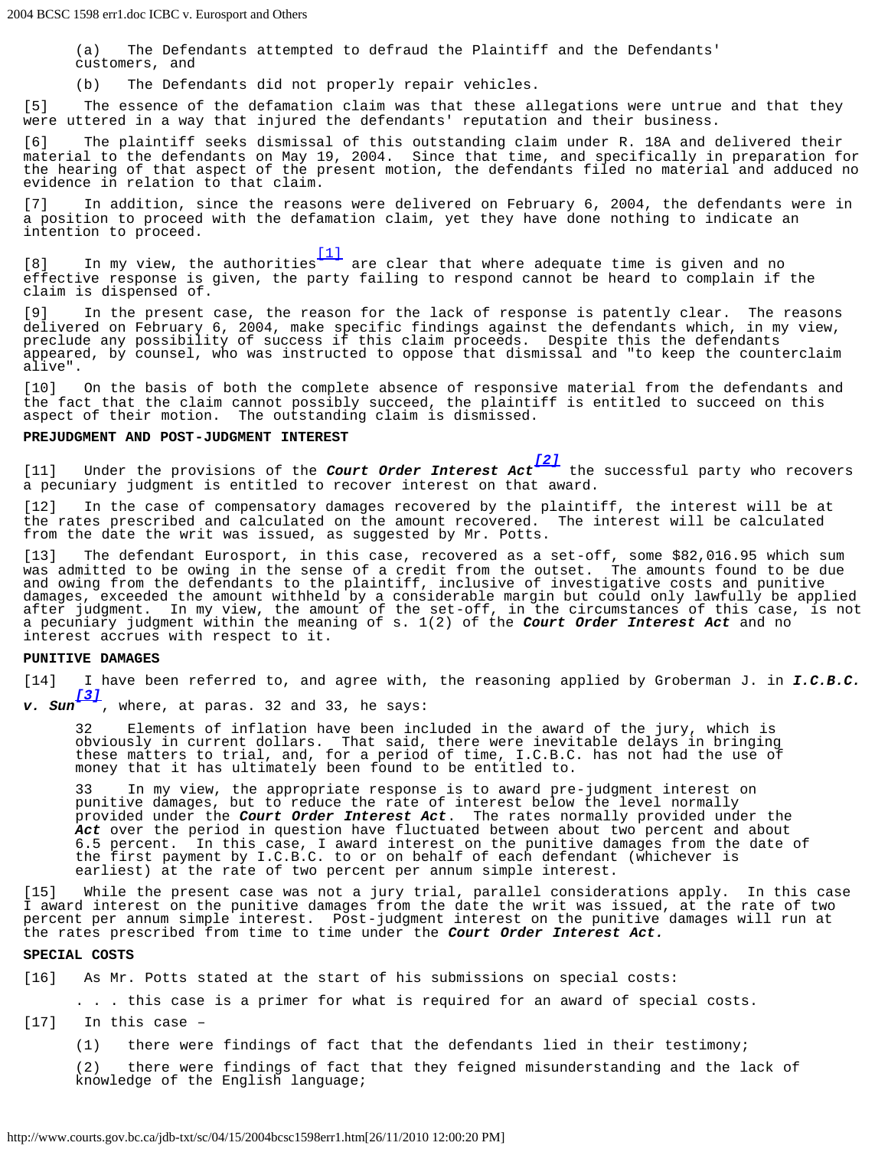(a) The Defendants attempted to defraud the Plaintiff and the Defendants' customers, and

(b) The Defendants did not properly repair vehicles.

[5] The essence of the defamation claim was that these allegations were untrue and that they were uttered in a way that injured the defendants' reputation and their business.

[6] The plaintiff seeks dismissal of this outstanding claim under R. 18A and delivered their material to the defendants on May 19, 2004. Since that time, and specifically in preparation for the hearing of that aspect of the present motion, the defendants filed no material and adduced no evidence in relation to that claim.

[7] In addition, since the reasons were delivered on February 6, 2004, the defendants were in a position to proceed with the defamation claim, yet they have done nothing to indicate an intention to proceed.

<span id="page-1-0"></span>[8] In my view, the authorities are clear that where adequate time is given and no effective response is given, the party failing to respond cannot be heard to complain if the claim is dispensed of.

[9] In the present case, the reason for the lack of response is patently clear. The reasons delivered on February 6, 2004, make specific findings against the defendants which, in my view, preclude any possibility of success if this claim proceeds. Despite this the defendants appeared, by counsel, who was instructed to oppose that dismissal and "to keep the counterclaim alive".

[10] On the basis of both the complete absence of responsive material from the defendants and the fact that the claim cannot possibly succeed, the plaintiff is entitled to succeed on this aspect of their motion. The outstanding claim is dismissed.

# **PREJUDGMENT AND POST-JUDGMENT INTEREST**



<span id="page-1-1"></span>[11] Under the provisions of the *Court Order Interest Act [\[2\]](#page-4-1)* the successful party who recovers a pecuniary judgment is entitled to recover interest on that award.

[12] In the case of compensatory damages recovered by the plaintiff, the interest will be at the rates prescribed and calculated on the amount recovered. The interest will be calculated from the date the writ was issued, as suggested by Mr. Potts.

[13] The defendant Eurosport, in this case, recovered as a set-off, some \$82,016.95 which sum was admitted to be owing in the sense of a credit from the outset. The amounts found to be due and owing from the defendants to the plaintiff, inclusive of investigative costs and punitive damages, exceeded the amount withheld by a considerable margin but could only lawfully be applied after judgment. In my view, the amount of the set-off, in the circumstances of this case, is not a pecuniary judgment within the meaning of s. 1(2) of the *Court Order Interest Act* and no interest accrues with respect to it.

## **PUNITIVE DAMAGES**

[14] I have been referred to, and agree with, the reasoning applied by Groberman J. in *I.C.B.C. v. Sun [\[3\]](#page-4-2)*

<span id="page-1-2"></span>, where, at paras. 32 and 33, he says:

32 Elements of inflation have been included in the award of the jury, which is obviously in current dollars. That said, there were inevitable delays in bringing these matters to trial, and, for a period of time, I.C.B.C. has not had the use of money that it has ultimately been found to be entitled to.

33 In my view, the appropriate response is to award pre-judgment interest on punitive damages, but to reduce the rate of interest below the level normally provided under the *Court Order Interest Act*. The rates normally provided under the Act over the period in question have fluctuated between about two percent and about 6.5 percent. In this case, I award interest on the punitive damages from the date of the first payment by I.C.B.C. to or on behalf of each defendant (whichever is earliest) at the rate of two percent per annum simple interest.

[15] While the present case was not a jury trial, parallel considerations apply. In this case I award interest on the punitive damages from the date the writ was issued, at the rate of two percent per annum simple interest. Post-judgment interest on the punitive damages will run at the rates prescribed from time to time under the *Court Order Interest Act.*

### **SPECIAL COSTS**

[16] As Mr. Potts stated at the start of his submissions on special costs:

. . . this case is a primer for what is required for an award of special costs.

[17] In this case –

(1) there were findings of fact that the defendants lied in their testimony;

(2) there were findings of fact that they feigned misunderstanding and the lack of knowledge of the English language;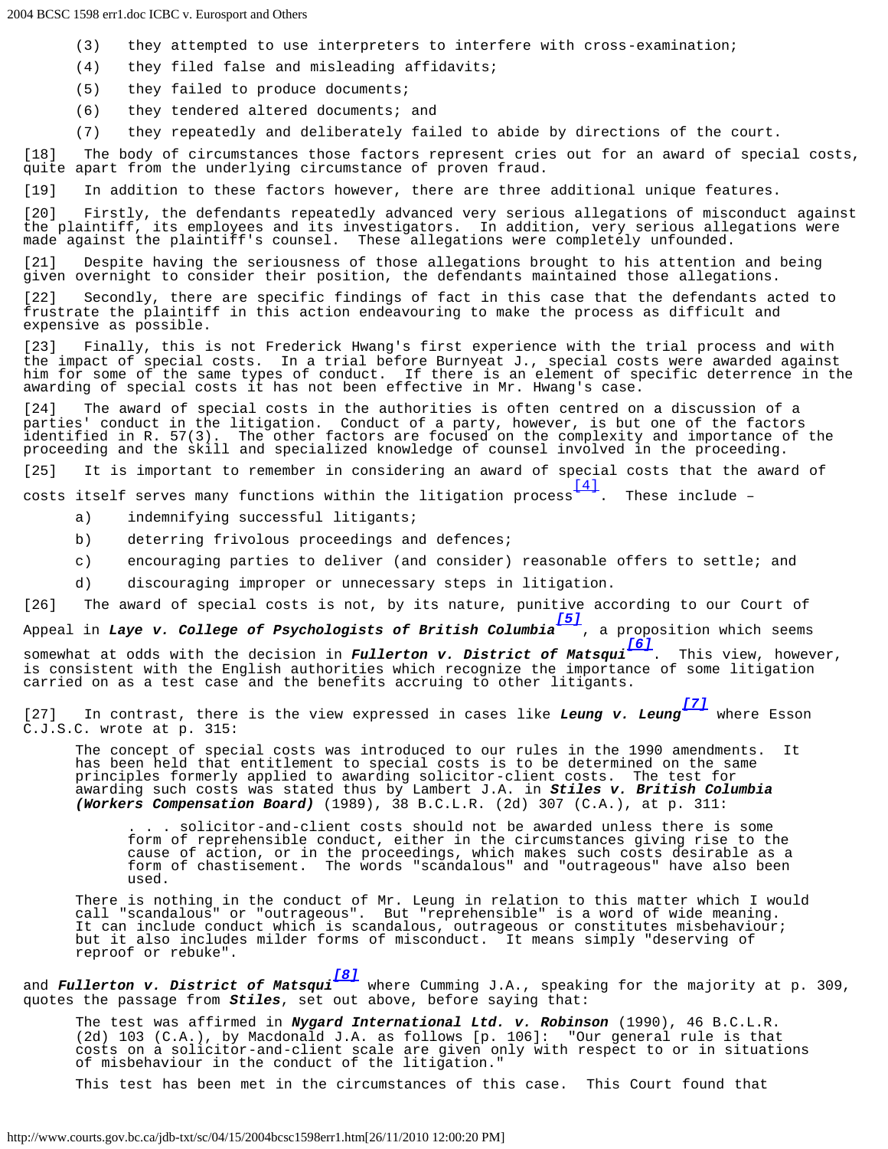- (3) they attempted to use interpreters to interfere with cross-examination;
- (4) they filed false and misleading affidavits;
- (5) they failed to produce documents;
- (6) they tendered altered documents; and
- (7) they repeatedly and deliberately failed to abide by directions of the court.

[18] The body of circumstances those factors represent cries out for an award of special costs, quite apart from the underlying circumstance of proven fraud.

[19] In addition to these factors however, there are three additional unique features.

[20] Firstly, the defendants repeatedly advanced very serious allegations of misconduct against the plaintiff, its employees and its investigators. In addition, very serious allegations were made against the plaintiff's counsel. These allegations were completely unfounded.

[21] Despite having the seriousness of those allegations brought to his attention and being given overnight to consider their position, the defendants maintained those allegations.

[22] Secondly, there are specific findings of fact in this case that the defendants acted to frustrate the plaintiff in this action endeavouring to make the process as difficult and expensive as possible.

[23] Finally, this is not Frederick Hwang's first experience with the trial process and with the impact of special costs. In a trial before Burnyeat J., special costs were awarded against him for some of the same types of conduct. If there is an element of specific deterrence in the awarding of special costs it has not been effective in Mr. Hwang's case.

[24] The award of special costs in the authorities is often centred on a discussion of a parties' conduct in the litigation. Conduct of a party, however, is but one of the factors identified in R. 57(3). The other factors are focused on the complexity and importance of the proceeding and the skill and specialized knowledge of counsel involved in the proceeding.

[25] It is important to remember in considering an award of special costs that the award of

<span id="page-2-0"></span>costs itself serves many functions within the litigation process  $\frac{[4]}{[4]}$  $\frac{[4]}{[4]}$  $\frac{[4]}{[4]}$ . These include -

- a) indemnifying successful litigants;
- b) deterring frivolous proceedings and defences;
- c) encouraging parties to deliver (and consider) reasonable offers to settle; and
- d) discouraging improper or unnecessary steps in litigation.

[26] The award of special costs is not, by its nature, punitive according to our Court of

<span id="page-2-1"></span>Appeal in *Laye v. College of Psychologists of British Columbia [\[5\]](#page-4-4)* , a proposition which seems

<span id="page-2-2"></span>somewhat at odds with the decision in *Fullerton v. District of Matsqui [\[6\]](#page-4-5)* . This view, however, is consistent with the English authorities which recognize the importance of some litigation carried on as a test case and the benefits accruing to other litigants.

<span id="page-2-3"></span>[27] In contrast, there is the view expressed in cases like *Leung v. Leung [\[7\]](#page-4-6)* where Esson C.J.S.C. wrote at p. 315:

The concept of special costs was introduced to our rules in the 1990 amendments. It has been held that entitlement to special costs is to be determined on the same principles formerly applied to awarding solicitor-client costs. The test for awarding such costs was stated thus by Lambert J.A. in *Stiles v. British Columbia (Workers Compensation Board)* (1989), 38 B.C.L.R. (2d) 307 (C.A.), at p. 311:

. . . solicitor-and-client costs should not be awarded unless there is some form of reprehensible conduct, either in the circumstances giving rise to the cause of action, or in the proceedings, which makes such costs desirable as a form of chastisement. The words "scandalous" and "outrageous" have also been used.

There is nothing in the conduct of Mr. Leung in relation to this matter which I would call "scandalous" or "outrageous". But "reprehensible" is a word of wide meaning. It can include conduct which is scandalous, outrageous or constitutes misbehaviour; but it also includes milder forms of misconduct. It means simply "deserving of reproof or rebuke".

<span id="page-2-4"></span>and *Fullerton v. District of Matsqui [\[8\]](#page-4-7)* where Cumming J.A., speaking for the majority at p. 309, quotes the passage from *Stiles*, set out above, before saying that:

The test was affirmed in *Nygard International Ltd. v. Robinson* (1990), 46 B.C.L.R. (2d) 103 (C.A.), by Macdonald J.A. as follows [p. 106]: "Our general rule is that costs on a solicitor-and-client scale are given only with respect to or in situations of misbehaviour in the conduct of the litigation."

This test has been met in the circumstances of this case. This Court found that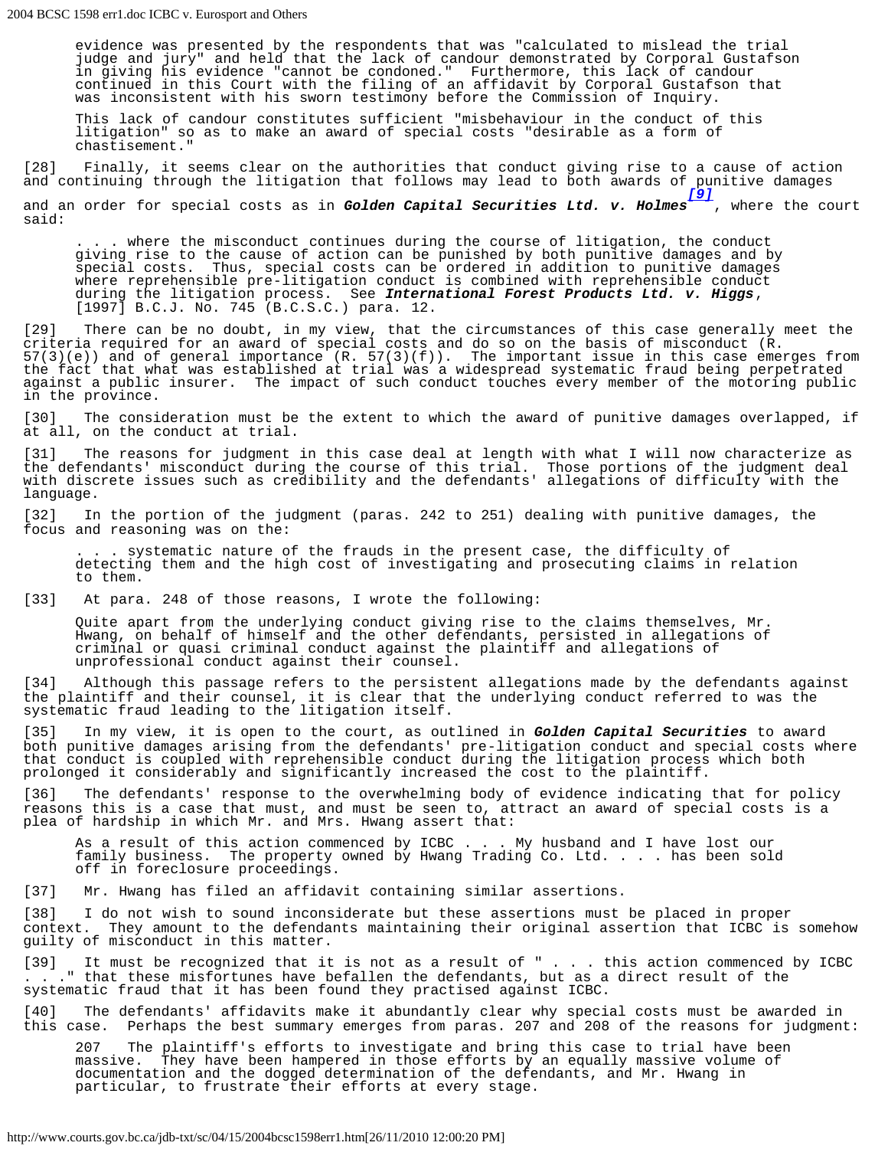evidence was presented by the respondents that was "calculated to mislead the trial judge and jury" and held that the lack of candour demonstrated by Corporal Gustafson in giving his evidence "cannot be condoned." Furthermore, this lack of candour continued in this Court with the filing of an affidavit by Corporal Gustafson that was inconsistent with his sworn testimony before the Commission of Inquiry.

This lack of candour constitutes sufficient "misbehaviour in the conduct of this litigation" so as to make an award of special costs "desirable as a form of chastisement."

[28] Finally, it seems clear on the authorities that conduct giving rise to a cause of action and continuing through the litigation that follows may lead to both awards of punitive damages

<span id="page-3-0"></span>and an order for special costs as in *Golden Capital Securities Ltd. v. Holmes [\[9\]](#page-5-0)* , where the court said:

. where the misconduct continues during the course of litigation, the conduct giving rise to the cause of action can be punished by both punitive damages and by special costs. Thus, special costs can be ordered in addition to punitive damages where reprehensible pre-litigation conduct is combined with reprehensible conduct during the litigation process. See *International Forest Products Ltd. v. Higgs*, [1997] B.C.J. No. 745 (B.C.S.C.) para. 12.

[29] There can be no doubt, in my view, that the circumstances of this case generally meet the criteria required for an award of special costs and do so on the basis of misconduct (R. 57(3)(e)) and of general importance (R. 57(3)(f)). The important issue in this case emerges from the fact that what was established at trial was a widespread systematic fraud being perpetrated against a public insurer. The impact of such conduct touches every member of the motoring public in the province.

[30] The consideration must be the extent to which the award of punitive damages overlapped, if at all, on the conduct at trial.

[31] The reasons for judgment in this case deal at length with what I will now characterize as the defendants' misconduct during the course of this trial. Those portions of the judgment deal with discrete issues such as credibility and the defendants' allegations of difficulty with the language.

[32] In the portion of the judgment (paras. 242 to 251) dealing with punitive damages, the focus and reasoning was on the:

. systematic nature of the frauds in the present case, the difficulty of detecting them and the high cost of investigating and prosecuting claims in relation to them.

[33] At para. 248 of those reasons, I wrote the following:

Quite apart from the underlying conduct giving rise to the claims themselves, Mr. Hwang, on behalf of himself and the other defendants, persisted in allegations of criminal or quasi criminal conduct against the plaintiff and allegations of unprofessional conduct against their counsel.

[34] Although this passage refers to the persistent allegations made by the defendants against the plaintiff and their counsel, it is clear that the underlying conduct referred to was the systematic fraud leading to the litigation itself.

[35] In my view, it is open to the court, as outlined in *Golden Capital Securities* to award both punitive damages arising from the defendants' pre-litigation conduct and special costs where that conduct is coupled with reprehensible conduct during the litigation process which both prolonged it considerably and significantly increased the cost to the plaintiff.

[36] The defendants' response to the overwhelming body of evidence indicating that for policy reasons this is a case that must, and must be seen to, attract an award of special costs is a plea of hardship in which Mr. and Mrs. Hwang assert that:

As a result of this action commenced by ICBC . . . My husband and I have lost our family business. The property owned by Hwang Trading Co. Ltd. . . . has been sold off in foreclosure proceedings.

[37] Mr. Hwang has filed an affidavit containing similar assertions.

[38] I do not wish to sound inconsiderate but these assertions must be placed in proper context. They amount to the defendants maintaining their original assertion that ICBC is somehow guilty of misconduct in this matter.

[39] It must be recognized that it is not as a result of " . . . this action commenced by ICBC . . ." that these misfortunes have befallen the defendants, but as a direct result of the systematic fraud that it has been found they practised against ICBC.

[40] The defendants' affidavits make it abundantly clear why special costs must be awarded in<br>this case. Perhaps the best summary emerges from paras. 207 and 208 of the reasons for judgment Perhaps the best summary emerges from paras. 207 and 208 of the reasons for judgment:

207 The plaintiff's efforts to investigate and bring this case to trial have been massive. They have been hampered in those efforts by an equally massive volume of documentation and the dogged determination of the defendants, and Mr. Hwang in particular, to frustrate their efforts at every stage.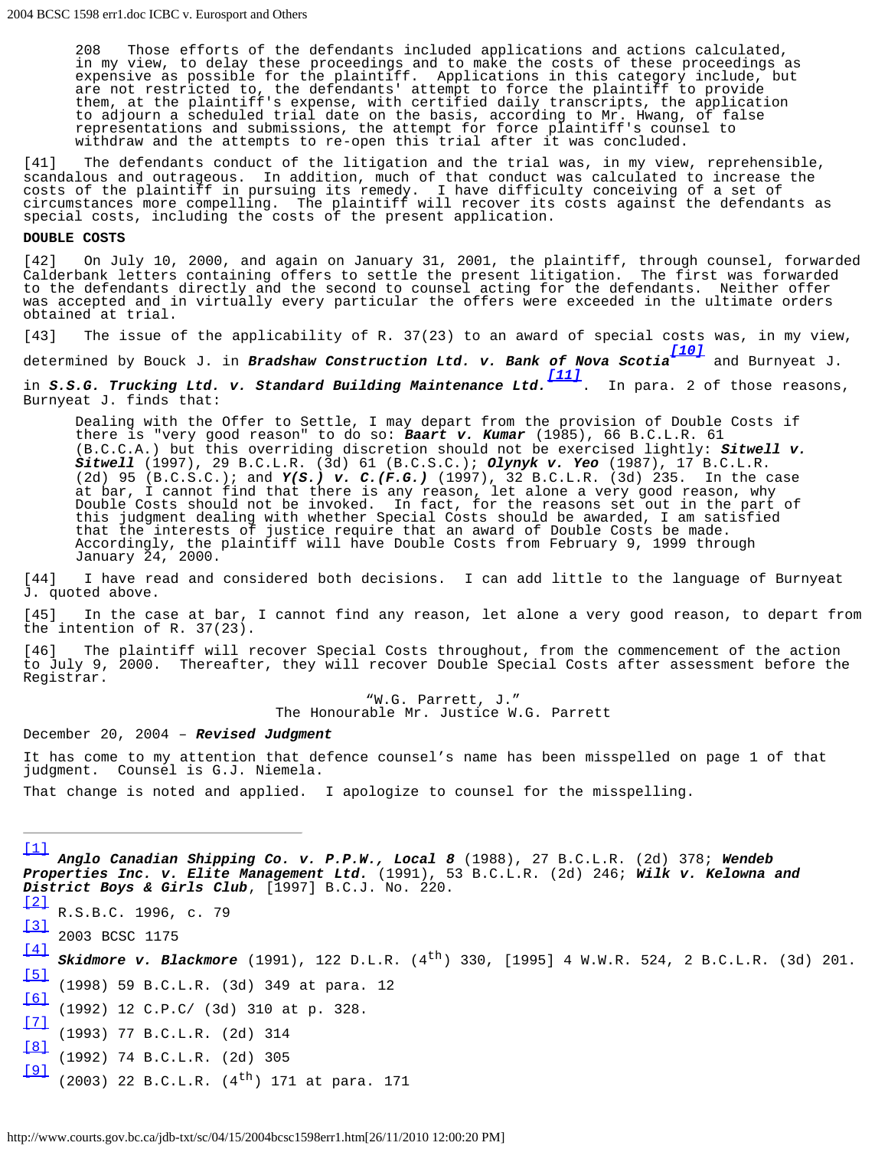208 Those efforts of the defendants included applications and actions calculated, in my view, to delay these proceedings and to make the costs of these proceedings as expensive as possible for the plaintiff. Applications in this category include, but are not restricted to, the defendants' attempt to force the plaintiff to provide them, at the plaintiff's expense, with certified daily transcripts, the application to adjourn a scheduled trial date on the basis, according to Mr. Hwang, of false representations and submissions, the attempt for force plaintiff's counsel to withdraw and the attempts to re-open this trial after it was concluded.

[41] The defendants conduct of the litigation and the trial was, in my view, reprehensible, scandalous and outrageous. In addition, much of that conduct was calculated to increase the costs of the plaintiff in pursuing its remedy. I have difficulty conceiving of a set of circumstances more compelling. The plaintiff will recover its costs against the defendants as special costs, including the costs of the present application.

#### **DOUBLE COSTS**

[42] On July 10, 2000, and again on January 31, 2001, the plaintiff, through counsel, forwarded<br>Calderbank letters containing offers to settle the present litigation. The first was forwarded Calderbank letters containing offers to settle the present litigation. to the defendants directly and the second to counsel acting for the defendants. Neither offer was accepted and in virtually every particular the offers were exceeded in the ultimate orders obtained at trial.

[43] The issue of the applicability of R. 37(23) to an award of special costs was, in my view,

<span id="page-4-8"></span>determined by Bouck J. in *Bradshaw Construction Ltd. v. Bank of Nova Scotia [\[10\]](#page-5-1)* and Burnyeat J.

<span id="page-4-9"></span>in *S.S.G. Trucking Ltd. v. Standard Building Maintenance Ltd. [\[11\]](#page-5-2)* . In para. 2 of those reasons, Burnyeat J. finds that:

Dealing with the Offer to Settle, I may depart from the provision of Double Costs if there is "very good reason" to do so: *Baart v. Kumar* (1985), 66 B.C.L.R. 61 (B.C.C.A.) but this overriding discretion should not be exercised lightly: *Sitwell v. Sitwell* (1997), 29 B.C.L.R. (3d) 61 (B.C.S.C.); *Olynyk v. Yeo* (1987), 17 B.C.L.R. (2d) 95 (B.C.S.C.); and *Y(S.) v. C.(F.G.)* (1997), 32 B.C.L.R. (3d) 235. In the case at bar, I cannot find that there is any reason, let alone a very good reason, why Double Costs should not be invoked. In fact, for the reasons set out in the part of this judgment dealing with whether Special Costs should be awarded, I am satisfied that the interests of justice require that an award of Double Costs be made. Accordingly, the plaintiff will have Double Costs from February 9, 1999 through January 24, 2000.

[44] I have read and considered both decisions. I can add little to the language of Burnyeat J. quoted above.

[45] In the case at bar, I cannot find any reason, let alone a very good reason, to depart from the intention of R. 37(23).

[46] The plaintiff will recover Special Costs throughout, from the commencement of the action to July 9, 2000. Thereafter, they will recover Double Special Costs after assessment before the Registrar.

> "W.G. Parrett, J." The Honourable Mr. Justice W.G. Parrett

December 20, 2004 – *Revised Judgment*

It has come to my attention that defence counsel's name has been misspelled on page 1 of that judgment. Counsel is G.J. Niemela.

That change is noted and applied. I apologize to counsel for the misspelling.

<span id="page-4-0"></span>[\[1\]](#page-1-0) *Anglo Canadian Shipping Co. v. P.P.W., Local 8* (1988), 27 B.C.L.R. (2d) 378; *Wendeb Properties Inc. v. Elite Management Ltd.* (1991), 53 B.C.L.R. (2d) 246; *Wilk v. Kelowna and District Boys & Girls Club*, [1997] B.C.J. No. 220.  $\sqrt{2}$ R.S.B.C. 1996, c. 79

<span id="page-4-1"></span>[\[3\]](#page-1-2)

<span id="page-4-2"></span>2003 BCSC 1175 [\[4\]](#page-2-0)

<span id="page-4-3"></span>**Skidmore v. Blackmore** (1991), 122 D.L.R. (4<sup>th</sup>) 330, [1995] 4 W.W.R. 524, 2 B.C.L.R. (3d) 201. [\[5\]](#page-2-1) (1998) 59 B.C.L.R. (3d) 349 at para. 12

<span id="page-4-5"></span><span id="page-4-4"></span>[\[6\]](#page-2-2) (1992) 12 C.P.C/ (3d) 310 at p. 328.

<span id="page-4-6"></span>[\[7\]](#page-2-3) (1993) 77 B.C.L.R. (2d) 314

<span id="page-4-7"></span>[\[8\]](#page-2-4) (1992) 74 B.C.L.R. (2d) 305

[\[9\]](#page-3-0)  $(2003)$  22 B.C.L.R.  $(4^{th})$  171 at para. 171

http://www.courts.gov.bc.ca/jdb-txt/sc/04/15/2004bcsc1598err1.htm[26/11/2010 12:00:20 PM]